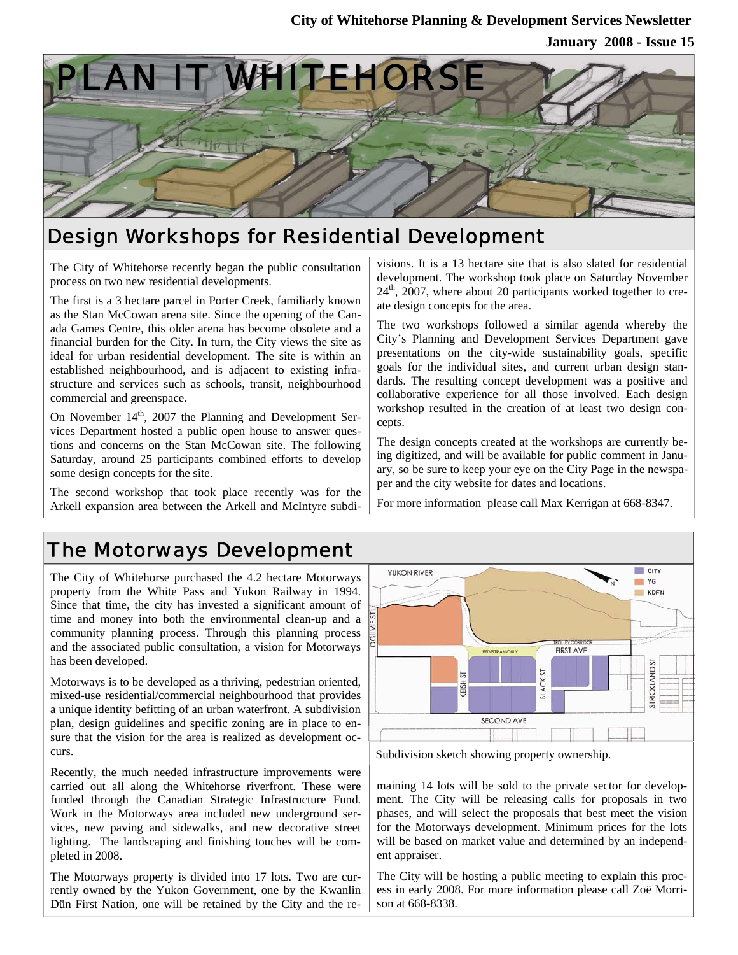

# Design Workshops for Residential Development

The City of Whitehorse recently began the public consultation process on two new residential developments.

The first is a 3 hectare parcel in Porter Creek, familiarly known as the Stan McCowan arena site. Since the opening of the Canada Games Centre, this older arena has become obsolete and a financial burden for the City. In turn, the City views the site as ideal for urban residential development. The site is within an established neighbourhood, and is adjacent to existing infrastructure and services such as schools, transit, neighbourhood commercial and greenspace.

On November 14<sup>th</sup>, 2007 the Planning and Development Services Department hosted a public open house to answer questions and concerns on the Stan McCowan site. The following Saturday, around 25 participants combined efforts to develop some design concepts for the site.

The second workshop that took place recently was for the Arkell expansion area between the Arkell and McIntyre subdivisions. It is a 13 hectare site that is also slated for residential development. The workshop took place on Saturday November  $24<sup>th</sup>$ , 2007, where about 20 participants worked together to create design concepts for the area.

The two workshops followed a similar agenda whereby the City's Planning and Development Services Department gave presentations on the city-wide sustainability goals, specific goals for the individual sites, and current urban design standards. The resulting concept development was a positive and collaborative experience for all those involved. Each design workshop resulted in the creation of at least two design concepts.

The design concepts created at the workshops are currently being digitized, and will be available for public comment in January, so be sure to keep your eye on the City Page in the newspaper and the city website for dates and locations.

For more information please call Max Kerrigan at 668-8347.

# The Motorways Development

The City of Whitehorse purchased the 4.2 hectare Motorways property from the White Pass and Yukon Railway in 1994. Since that time, the city has invested a significant amount of time and money into both the environmental clean-up and a community planning process. Through this planning process and the associated public consultation, a vision for Motorways has been developed.

Motorways is to be developed as a thriving, pedestrian oriented, mixed-use residential/commercial neighbourhood that provides a unique identity befitting of an urban waterfront. A subdivision plan, design guidelines and specific zoning are in place to ensure that the vision for the area is realized as development occurs.

Recently, the much needed infrastructure improvements were carried out all along the Whitehorse riverfront. These were funded through the Canadian Strategic Infrastructure Fund. Work in the Motorways area included new underground services, new paving and sidewalks, and new decorative street lighting. The landscaping and finishing touches will be completed in 2008.

The Motorways property is divided into 17 lots. Two are currently owned by the Yukon Government, one by the Kwanlin Dün First Nation, one will be retained by the City and the re-



maining 14 lots will be sold to the private sector for development. The City will be releasing calls for proposals in two phases, and will select the proposals that best meet the vision for the Motorways development. Minimum prices for the lots will be based on market value and determined by an independent appraiser.

The City will be hosting a public meeting to explain this process in early 2008. For more information please call Zoë Morrison at 668-8338.